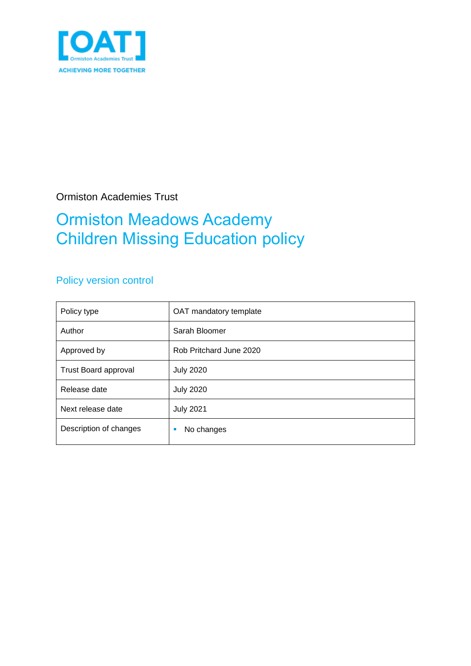

Ormiston Academies Trust

## Ormiston Meadows Academy Children Missing Education policy

### Policy version control

| Policy type                 | OAT mandatory template  |  |  |
|-----------------------------|-------------------------|--|--|
| Author                      | Sarah Bloomer           |  |  |
| Approved by                 | Rob Pritchard June 2020 |  |  |
| <b>Trust Board approval</b> | <b>July 2020</b>        |  |  |
| Release date                | <b>July 2020</b>        |  |  |
| Next release date           | <b>July 2021</b>        |  |  |
| Description of changes      | No changes              |  |  |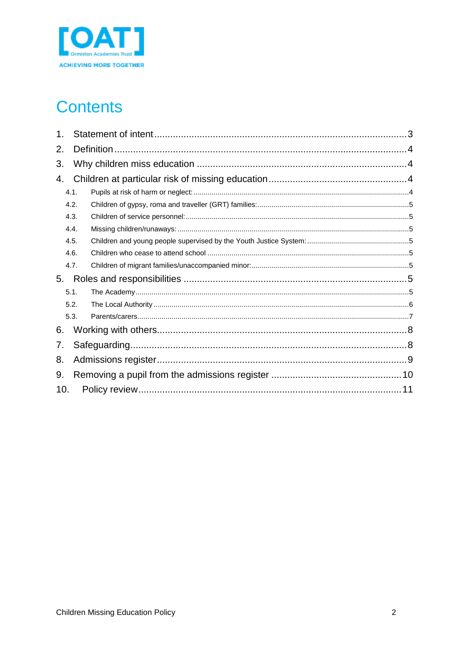

# **Contents**

| 1.   |      |  |  |  |  |  |  |
|------|------|--|--|--|--|--|--|
| 2.   |      |  |  |  |  |  |  |
| 3.   |      |  |  |  |  |  |  |
| 4.   |      |  |  |  |  |  |  |
|      | 4.1. |  |  |  |  |  |  |
| 4.2. |      |  |  |  |  |  |  |
| 4.3. |      |  |  |  |  |  |  |
| 4.4. |      |  |  |  |  |  |  |
| 4.5. |      |  |  |  |  |  |  |
| 4.6. |      |  |  |  |  |  |  |
|      | 4.7. |  |  |  |  |  |  |
| 5.   |      |  |  |  |  |  |  |
| 5.1. |      |  |  |  |  |  |  |
| 5.2. |      |  |  |  |  |  |  |
|      | 5.3. |  |  |  |  |  |  |
| 6.   |      |  |  |  |  |  |  |
| 7.   |      |  |  |  |  |  |  |
| 8.   |      |  |  |  |  |  |  |
| 9.   |      |  |  |  |  |  |  |
| 10.  |      |  |  |  |  |  |  |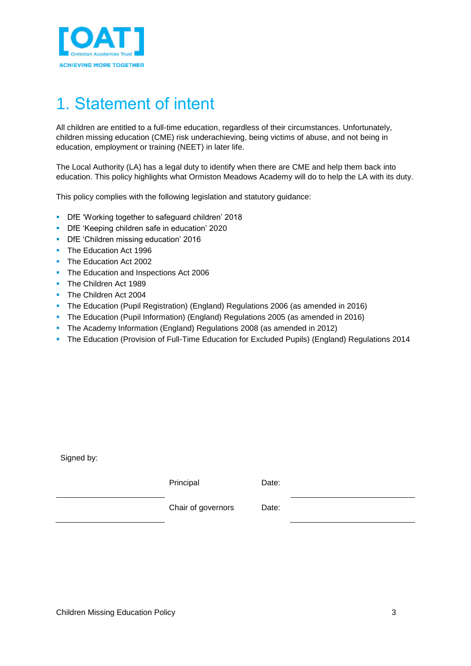

# <span id="page-2-0"></span>1. Statement of intent

All children are entitled to a full-time education, regardless of their circumstances. Unfortunately, children missing education (CME) risk underachieving, being victims of abuse, and not being in education, employment or training (NEET) in later life.

The Local Authority (LA) has a legal duty to identify when there are CME and help them back into education. This policy highlights what Ormiston Meadows Academy will do to help the LA with its duty.

This policy complies with the following legislation and statutory guidance:

- **-** DfE 'Working together to safeguard children' 2018
- **DfE** 'Keeping children safe in education' 2020
- **DfE** 'Children missing education' 2016
- The Education Act 1996
- The Education Act 2002
- **The Education and Inspections Act 2006**
- **The Children Act 1989**
- The Children Act 2004
- The Education (Pupil Registration) (England) Regulations 2006 (as amended in 2016)
- The Education (Pupil Information) (England) Regulations 2005 (as amended in 2016)
- The Academy Information (England) Regulations 2008 (as amended in 2012)
- **The Education (Provision of Full-Time Education for Excluded Pupils) (England) Regulations 2014**

Signed by:

| Principal          | Date: |  |
|--------------------|-------|--|
| Chair of governors | Date: |  |
|                    |       |  |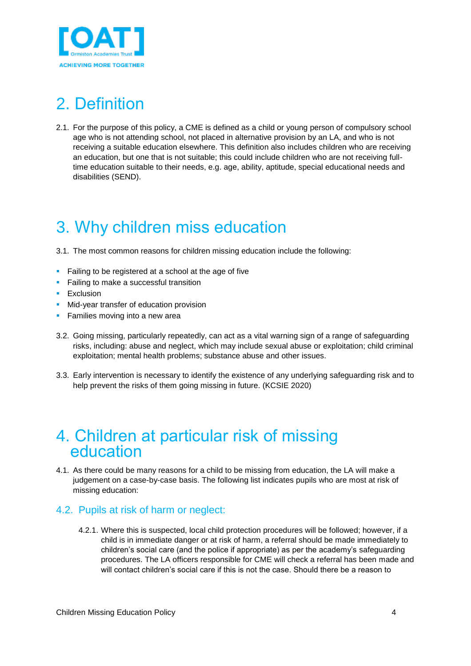

# <span id="page-3-0"></span>2. Definition

2.1. For the purpose of this policy, a CME is defined as a child or young person of compulsory school age who is not attending school, not placed in alternative provision by an LA, and who is not receiving a suitable education elsewhere. This definition also includes children who are receiving an education, but one that is not suitable; this could include children who are not receiving fulltime education suitable to their needs, e.g. age, ability, aptitude, special educational needs and disabilities (SEND).

# <span id="page-3-1"></span>3. Why children miss education

3.1. The most common reasons for children missing education include the following:

- **Failing to be registered at a school at the age of five**
- **Failing to make a successful transition**
- **Exclusion**
- **Mid-year transfer of education provision**
- **Families moving into a new area**
- 3.2. Going missing, particularly repeatedly, can act as a vital warning sign of a range of safeguarding risks, including: abuse and neglect, which may include sexual abuse or exploitation; child criminal exploitation; mental health problems; substance abuse and other issues.
- 3.3. Early intervention is necessary to identify the existence of any underlying safeguarding risk and to help prevent the risks of them going missing in future. (KCSIE 2020)

### <span id="page-3-2"></span>4. Children at particular risk of missing education

4.1. As there could be many reasons for a child to be missing from education, the LA will make a judgement on a case-by-case basis. The following list indicates pupils who are most at risk of missing education:

#### <span id="page-3-3"></span>4.2. Pupils at risk of harm or neglect:

4.2.1. Where this is suspected, local child protection procedures will be followed; however, if a child is in immediate danger or at risk of harm, a referral should be made immediately to children's social care (and the police if appropriate) as per the academy's safeguarding procedures. The LA officers responsible for CME will check a referral has been made and will contact children's social care if this is not the case. Should there be a reason to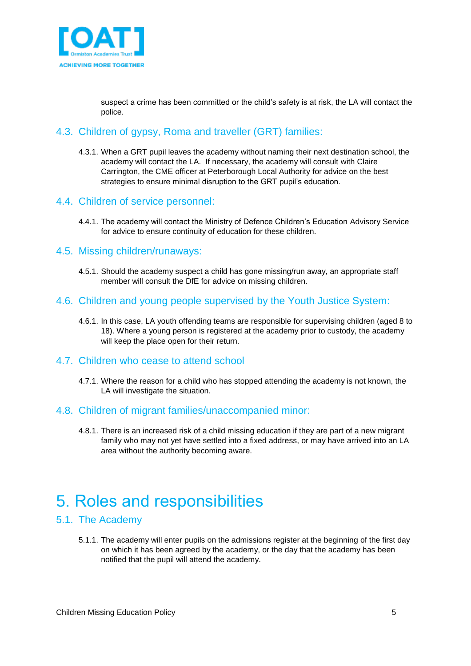

suspect a crime has been committed or the child's safety is at risk, the LA will contact the police.

### <span id="page-4-0"></span>4.3. Children of gypsy, Roma and traveller (GRT) families:

4.3.1. When a GRT pupil leaves the academy without naming their next destination school, the academy will contact the LA. If necessary, the academy will consult with Claire Carrington, the CME officer at Peterborough Local Authority for advice on the best strategies to ensure minimal disruption to the GRT pupil's education.

#### <span id="page-4-1"></span>4.4. Children of service personnel:

4.4.1. The academy will contact the Ministry of Defence Children's Education Advisory Service for advice to ensure continuity of education for these children.

#### <span id="page-4-2"></span>4.5. Missing children/runaways:

4.5.1. Should the academy suspect a child has gone missing/run away, an appropriate staff member will consult the DfE for advice on missing children.

### <span id="page-4-3"></span>4.6. Children and young people supervised by the Youth Justice System:

4.6.1. In this case, LA youth offending teams are responsible for supervising children (aged 8 to 18). Where a young person is registered at the academy prior to custody, the academy will keep the place open for their return.

#### <span id="page-4-4"></span>4.7. Children who cease to attend school

4.7.1. Where the reason for a child who has stopped attending the academy is not known, the LA will investigate the situation.

#### <span id="page-4-5"></span>4.8. Children of migrant families/unaccompanied minor:

4.8.1. There is an increased risk of a child missing education if they are part of a new migrant family who may not yet have settled into a fixed address, or may have arrived into an LA area without the authority becoming aware.

### <span id="page-4-6"></span>5. Roles and responsibilities

#### <span id="page-4-7"></span>5.1. The Academy

5.1.1. The academy will enter pupils on the admissions register at the beginning of the first day on which it has been agreed by the academy, or the day that the academy has been notified that the pupil will attend the academy.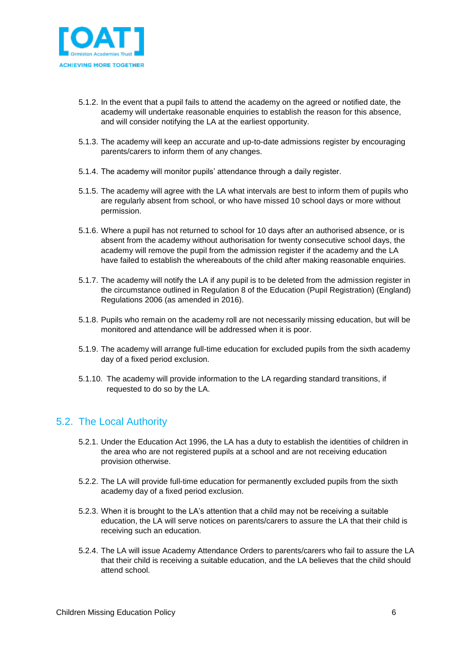

- 5.1.2. In the event that a pupil fails to attend the academy on the agreed or notified date, the academy will undertake reasonable enquiries to establish the reason for this absence, and will consider notifying the LA at the earliest opportunity.
- 5.1.3. The academy will keep an accurate and up-to-date admissions register by encouraging parents/carers to inform them of any changes.
- 5.1.4. The academy will monitor pupils' attendance through a daily register.
- 5.1.5. The academy will agree with the LA what intervals are best to inform them of pupils who are regularly absent from school, or who have missed 10 school days or more without permission.
- 5.1.6. Where a pupil has not returned to school for 10 days after an authorised absence, or is absent from the academy without authorisation for twenty consecutive school days, the academy will remove the pupil from the admission register if the academy and the LA have failed to establish the whereabouts of the child after making reasonable enquiries.
- 5.1.7. The academy will notify the LA if any pupil is to be deleted from the admission register in the circumstance outlined in Regulation 8 of the Education (Pupil Registration) (England) Regulations 2006 (as amended in 2016).
- 5.1.8. Pupils who remain on the academy roll are not necessarily missing education, but will be monitored and attendance will be addressed when it is poor.
- 5.1.9. The academy will arrange full-time education for excluded pupils from the sixth academy day of a fixed period exclusion.
- 5.1.10. The academy will provide information to the LA regarding standard transitions, if requested to do so by the LA.

### <span id="page-5-0"></span>5.2. The Local Authority

- 5.2.1. Under the Education Act 1996, the LA has a duty to establish the identities of children in the area who are not registered pupils at a school and are not receiving education provision otherwise.
- 5.2.2. The LA will provide full-time education for permanently excluded pupils from the sixth academy day of a fixed period exclusion.
- 5.2.3. When it is brought to the LA's attention that a child may not be receiving a suitable education, the LA will serve notices on parents/carers to assure the LA that their child is receiving such an education.
- 5.2.4. The LA will issue Academy Attendance Orders to parents/carers who fail to assure the LA that their child is receiving a suitable education, and the LA believes that the child should attend school.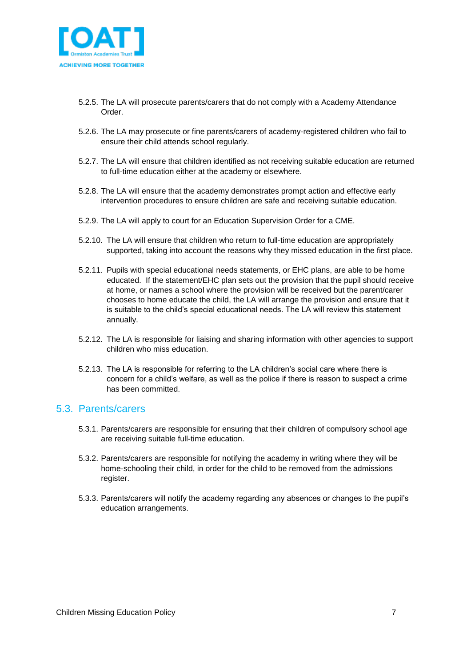

- 5.2.5. The LA will prosecute parents/carers that do not comply with a Academy Attendance Order.
- 5.2.6. The LA may prosecute or fine parents/carers of academy-registered children who fail to ensure their child attends school regularly.
- 5.2.7. The LA will ensure that children identified as not receiving suitable education are returned to full-time education either at the academy or elsewhere.
- 5.2.8. The LA will ensure that the academy demonstrates prompt action and effective early intervention procedures to ensure children are safe and receiving suitable education.
- 5.2.9. The LA will apply to court for an Education Supervision Order for a CME.
- 5.2.10. The LA will ensure that children who return to full-time education are appropriately supported, taking into account the reasons why they missed education in the first place.
- 5.2.11. Pupils with special educational needs statements, or EHC plans, are able to be home educated. If the statement/EHC plan sets out the provision that the pupil should receive at home, or names a school where the provision will be received but the parent/carer chooses to home educate the child, the LA will arrange the provision and ensure that it is suitable to the child's special educational needs. The LA will review this statement annually.
- 5.2.12. The LA is responsible for liaising and sharing information with other agencies to support children who miss education.
- 5.2.13. The LA is responsible for referring to the LA children's social care where there is concern for a child's welfare, as well as the police if there is reason to suspect a crime has been committed.

#### <span id="page-6-0"></span>5.3. Parents/carers

- 5.3.1. Parents/carers are responsible for ensuring that their children of compulsory school age are receiving suitable full-time education.
- 5.3.2. Parents/carers are responsible for notifying the academy in writing where they will be home-schooling their child, in order for the child to be removed from the admissions register.
- 5.3.3. Parents/carers will notify the academy regarding any absences or changes to the pupil's education arrangements.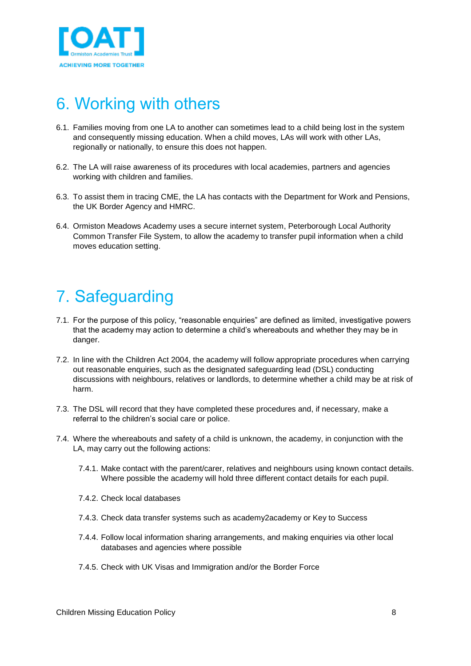

## <span id="page-7-0"></span>6. Working with others

- 6.1. Families moving from one LA to another can sometimes lead to a child being lost in the system and consequently missing education. When a child moves, LAs will work with other LAs, regionally or nationally, to ensure this does not happen.
- 6.2. The LA will raise awareness of its procedures with local academies, partners and agencies working with children and families.
- 6.3. To assist them in tracing CME, the LA has contacts with the Department for Work and Pensions, the UK Border Agency and HMRC.
- 6.4. Ormiston Meadows Academy uses a secure internet system, Peterborough Local Authority Common Transfer File System, to allow the academy to transfer pupil information when a child moves education setting.

# <span id="page-7-1"></span>7. Safeguarding

- 7.1. For the purpose of this policy, "reasonable enquiries" are defined as limited, investigative powers that the academy may action to determine a child's whereabouts and whether they may be in danger.
- 7.2. In line with the Children Act 2004, the academy will follow appropriate procedures when carrying out reasonable enquiries, such as the designated safeguarding lead (DSL) conducting discussions with neighbours, relatives or landlords, to determine whether a child may be at risk of harm.
- 7.3. The DSL will record that they have completed these procedures and, if necessary, make a referral to the children's social care or police.
- 7.4. Where the whereabouts and safety of a child is unknown, the academy, in conjunction with the LA, may carry out the following actions:
	- 7.4.1. Make contact with the parent/carer, relatives and neighbours using known contact details. Where possible the academy will hold three different contact details for each pupil.
	- 7.4.2. Check local databases
	- 7.4.3. Check data transfer systems such as academy2academy or Key to Success
	- 7.4.4. Follow local information sharing arrangements, and making enquiries via other local databases and agencies where possible
	- 7.4.5. Check with UK Visas and Immigration and/or the Border Force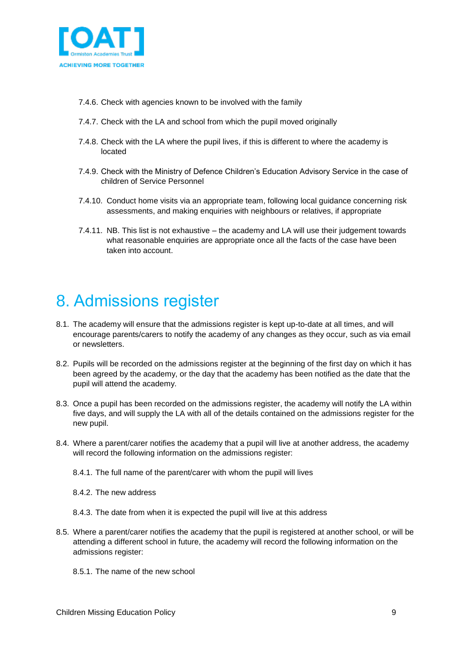

- 7.4.6. Check with agencies known to be involved with the family
- 7.4.7. Check with the LA and school from which the pupil moved originally
- 7.4.8. Check with the LA where the pupil lives, if this is different to where the academy is located
- 7.4.9. Check with the Ministry of Defence Children's Education Advisory Service in the case of children of Service Personnel
- 7.4.10. Conduct home visits via an appropriate team, following local guidance concerning risk assessments, and making enquiries with neighbours or relatives, if appropriate
- 7.4.11. NB. This list is not exhaustive the academy and LA will use their judgement towards what reasonable enquiries are appropriate once all the facts of the case have been taken into account.

## <span id="page-8-0"></span>8. Admissions register

- 8.1. The academy will ensure that the admissions register is kept up-to-date at all times, and will encourage parents/carers to notify the academy of any changes as they occur, such as via email or newsletters.
- 8.2. Pupils will be recorded on the admissions register at the beginning of the first day on which it has been agreed by the academy, or the day that the academy has been notified as the date that the pupil will attend the academy.
- 8.3. Once a pupil has been recorded on the admissions register, the academy will notify the LA within five days, and will supply the LA with all of the details contained on the admissions register for the new pupil.
- 8.4. Where a parent/carer notifies the academy that a pupil will live at another address, the academy will record the following information on the admissions register:
	- 8.4.1. The full name of the parent/carer with whom the pupil will lives
	- 8.4.2. The new address
	- 8.4.3. The date from when it is expected the pupil will live at this address
- 8.5. Where a parent/carer notifies the academy that the pupil is registered at another school, or will be attending a different school in future, the academy will record the following information on the admissions register:
	- 8.5.1. The name of the new school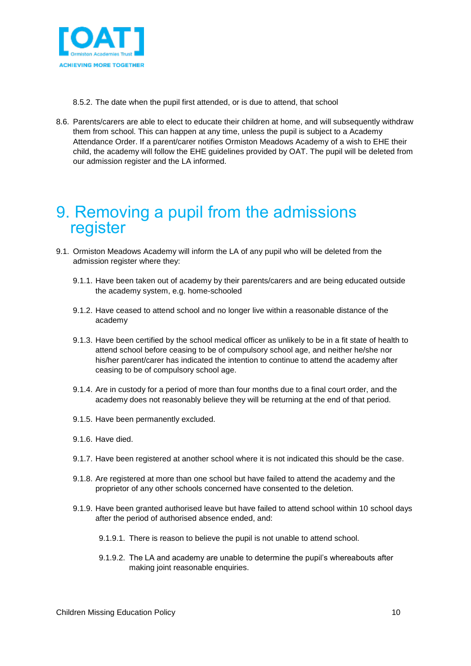

8.5.2. The date when the pupil first attended, or is due to attend, that school

8.6. Parents/carers are able to elect to educate their children at home, and will subsequently withdraw them from school. This can happen at any time, unless the pupil is subject to a Academy Attendance Order. If a parent/carer notifies Ormiston Meadows Academy of a wish to EHE their child, the academy will follow the EHE guidelines provided by OAT. The pupil will be deleted from our admission register and the LA informed.

### <span id="page-9-0"></span>9. Removing a pupil from the admissions register

- 9.1. Ormiston Meadows Academy will inform the LA of any pupil who will be deleted from the admission register where they:
	- 9.1.1. Have been taken out of academy by their parents/carers and are being educated outside the academy system, e.g. home-schooled
	- 9.1.2. Have ceased to attend school and no longer live within a reasonable distance of the academy
	- 9.1.3. Have been certified by the school medical officer as unlikely to be in a fit state of health to attend school before ceasing to be of compulsory school age, and neither he/she nor his/her parent/carer has indicated the intention to continue to attend the academy after ceasing to be of compulsory school age.
	- 9.1.4. Are in custody for a period of more than four months due to a final court order, and the academy does not reasonably believe they will be returning at the end of that period.
	- 9.1.5. Have been permanently excluded.
	- 9.1.6. Have died.
	- 9.1.7. Have been registered at another school where it is not indicated this should be the case.
	- 9.1.8. Are registered at more than one school but have failed to attend the academy and the proprietor of any other schools concerned have consented to the deletion.
	- 9.1.9. Have been granted authorised leave but have failed to attend school within 10 school days after the period of authorised absence ended, and:
		- 9.1.9.1. There is reason to believe the pupil is not unable to attend school.
		- 9.1.9.2. The LA and academy are unable to determine the pupil's whereabouts after making joint reasonable enquiries.